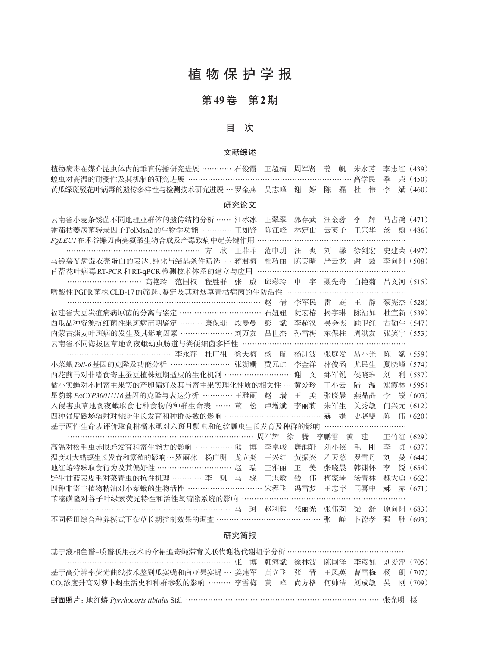# 植 物 保 护 学 报

## 第**49**卷 第**2**期

### 目 次

### 文献综述

| 植物病毒在媒介昆虫体内的垂直传播研究进展 ………… 石俊霞 王超楠 周军贤 姜 帆 朱水芳 李志红(439)    |  |  |  |  |  |
|-----------------------------------------------------------|--|--|--|--|--|
| · 蝗虫对高温的耐受性及其机制的研究进展 …………………………………………………………… 高学民 季 荣(450) |  |  |  |  |  |
| 黄瓜绿斑驳花叶病毒的遗传多样性与检测技术研究进展 … 罗金燕 吴志峰 谢 婷 陈 磊 杜 伟 李 斌(460)   |  |  |  |  |  |

### 研究论文

| 云南省小麦条锈菌不同地理亚群体的遗传结构分析 …… 江冰冰                |     | 干翠翠       | 郭存武     | 汪金蓉      | 李<br>辉 | 马占鸿 (471) |         |
|----------------------------------------------|-----|-----------|---------|----------|--------|-----------|---------|
| 番茄枯萎病菌转录因子FolMsn2的生物学功能 ………… 王如锋             |     | 陈江峰       | 林定山     | 云英子      | 王宗华    | 汤<br>蔚    | (486)   |
| FgLEUI在禾谷镰刀菌亮氨酸生物合成及产毒致病中起关键作用               |     |           |         |          |        |           |         |
| 方<br>一斤欠                                     | 王菲菲 | 范中玥       | 汪<br>爽  | 刘<br>馨   | 徐剑宏    | 史建荣 (497) |         |
| 马铃薯 Y 病毒衣壳蛋白的表达、纯化与结晶条件筛选 … 蒋君梅              |     | 杜巧丽       | 陈美晴     | 严云龙      | 谢<br>鑫 | 李向阳 (508) |         |
| 苜蓿花叶病毒 RT-PCR 和 RT-qPCR 检测技术体系的建立与应用         |     |           |         |          |        |           |         |
| ………………………… 高艳玲 范国权 程胜群<br>张                  | 威   | 邱彩玲       | 申 宇     | 聂先舟      | 白艳菊    | 吕文河 (515) |         |
| 嗜酸性 PGPR 菌株 CLB-17 的筛选、鉴定及其对烟草青枯病菌的生防活性      |     |           |         |          |        |           |         |
|                                              |     | 赵<br>倩    | 李军民     | 雷<br>庭   | 王<br>静 | 蔡宪杰 (528) |         |
| 福建省大豆炭疽病病原菌的分离与鉴定 …………………………… 石妞妞            |     |           | 阮宏椿     | 揭宇琳      | 陈福如    | 杜官新 (539) |         |
| 西瓜品种资源抗细菌性果斑病苗期鉴定 ……… 康保珊 段曼曼                |     | 彭<br>斌    | 李超汉     | 吴会杰      | 顾卫红    | 古勤生 (547) |         |
| 内蒙古燕麦叶斑病的发生及其影响因素 ………………… 刘万友                |     | 吕丗杰       | 孙雪梅     | 东保柱      | 周洪友    | 张笑宇 (553) |         |
| 云南省不同海拔区草地贪夜蛾幼虫肠道与粪便细菌多样性                    |     |           |         |          |        |           |         |
| ……………………………………… 李永萍 杜广祖 徐天梅                  |     | 杨<br>航    | 杨讲波     | 张庭发      | 易小光    | 陈         | 斌 (559) |
| 小菜蛾 Toll-6基因的克隆及功能分析 …………………… 张姗姗            |     | 贾元虹       | 李金洋     | 林俊涵      | 尤民生    | 夏晓峰       | (574)   |
| 西花蓟马对非嗜食寄主蚕豆植株短期适应的生化机制 ………………………            |     |           | 谢<br>文  | 郅军锐      | 侯晓琳    | 刘<br>利    | (587)   |
| 橘小实蝇对不同寄主果实的产卵偏好及其与寄主果实理化性质的相关性 … 黄爱玲        |     |           |         | 王小云      | 陆<br>温 | 郑霞林 (595) |         |
| 星豹蛛 PaCYP3001U16基因的克隆与表达分析 ………… 王雅丽          |     | 赵<br>瑞    | 王<br>美  | 张晓晨      | 燕晶晶    | 锐<br>李    | (603)   |
| 入侵害虫草地贪夜蛾取食七种食物的种群生命表 …… 董 松                 |     | 卢增斌       | 李丽莉     | 朱军生      | 关秀敏    | 门兴元       | (612)   |
| 四种强度磁场辐射对桃蚜生长发育和种群参数的影响 …………………………………        |     |           |         | 赫<br>娟   | 史骁斐    | 陈<br>伟    | (620)   |
| 基于两性生命表评价取食柑橘木虱对六斑月瓢虫和龟纹瓢虫生长发育及种群的影响         |     |           |         |          |        |           |         |
|                                              |     | 周军辉<br>徐  | 塍       | 李鹏雷<br>黄 | 建      | 王竹红(629)  |         |
| 高温对松毛虫赤眼蜂发育和寄生能力的影响 …………… 熊                  | 博   | 李卓峻       | 唐润轩     | 刘小侠      | 毛<br>刚 | 贞<br>李    | (637)   |
| 温度对大蜡螟生长发育和繁殖的影响…罗丽林 杨广明                     | 龙立炎 | 王兴红       | 黄振兴     | 乙天蒸      | 罗雪丹    | 魯<br>刘    | (644)   |
| 地红蝽特殊取食行为及其偏好性 ………………………… 赵                  | 瑞   | 王雅丽       | 美<br>Ŧ. | 张晓晨      | 韩渊怀    | 锐<br>李    | (654)   |
| 野生甘蓝表皮毛对菜青虫的抗性机理 ………… 李 魁 马                  | 骁   | 王志敏       | 伟<br>钱  | 梅家琴      | 汤青林    | 魏大勇       | (662)   |
| 四种非寄主植物精油对小菜蛾的生物活性 ………………………… 宋程飞            |     |           | 冯雪梦     | 王志宇      | 闫喜中    | 赤<br>郝    | (671)   |
| 苄嘧磺隆对谷子叶绿素荧光特性和活性氧清除系统的影响 ……………………………………………… |     |           |         |          |        |           |         |
| 马                                            | 珂   | 赵利蓉   张丽光 |         | 张伟莉      | 梁<br>舒 | 原向阳       | (683)   |
| 不同稻田综合种养模式下杂草长期控制效果的调查 …………………………………… 张      |     |           |         | 峥        | 卜德孝    | 胜<br>强    | (693)   |

### 研究简报

| 基于液相色谱-质谱联用技术的伞裙追寄蝇滞育关联代谢物代谢组学分析 ………………………………………                     |  |  |  |  |  |
|----------------------------------------------------------------------|--|--|--|--|--|
| …………………………………………………………… 张 博 韩海斌 徐林波 陈国泽 李彦如 刘爱萍 (705)                |  |  |  |  |  |
| 基于高分辨率荧光曲线技术鉴别瓜实蝇和南亚果实蝇 … 姜建军 黄立飞 张 晋 王凤英 曹雪梅 杨 朗 (707)              |  |  |  |  |  |
| CO2浓度升高对萝卜蚜生活史和种群参数的影响 ……… 李雪梅 黄 峰 尚方格 何帅洁 刘成敏 吴 刚 (709)             |  |  |  |  |  |
| 封面照片: 地红蝽 Pyrrhocoris tibialis Stål …………………………………………………………………… 张光明 摄 |  |  |  |  |  |